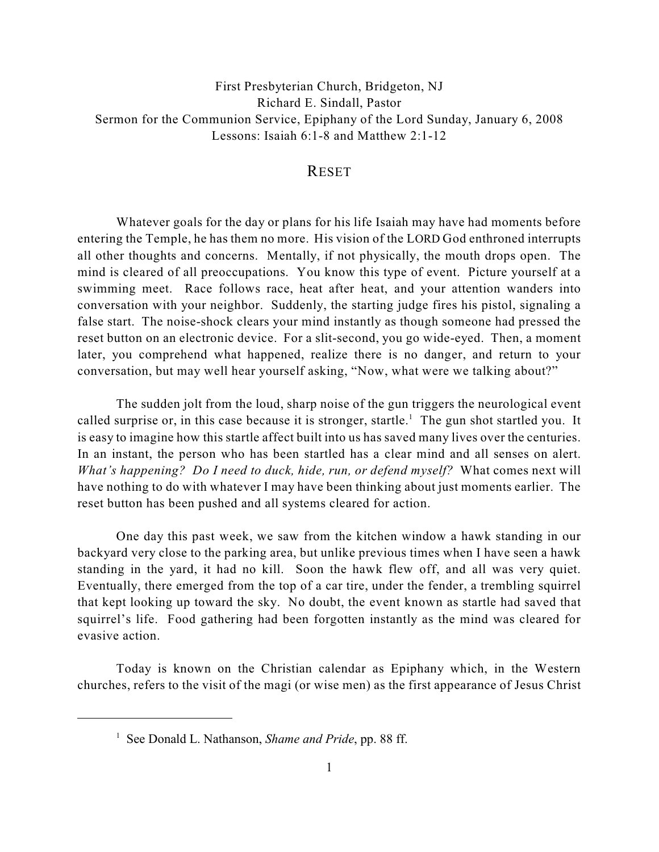First Presbyterian Church, Bridgeton, NJ Richard E. Sindall, Pastor Sermon for the Communion Service, Epiphany of the Lord Sunday, January 6, 2008 Lessons: Isaiah 6:1-8 and Matthew 2:1-12

## **RESET**

Whatever goals for the day or plans for his life Isaiah may have had moments before entering the Temple, he has them no more. His vision of the LORD God enthroned interrupts all other thoughts and concerns. Mentally, if not physically, the mouth drops open. The mind is cleared of all preoccupations. You know this type of event. Picture yourself at a swimming meet. Race follows race, heat after heat, and your attention wanders into conversation with your neighbor. Suddenly, the starting judge fires his pistol, signaling a false start. The noise-shock clears your mind instantly as though someone had pressed the reset button on an electronic device. For a slit-second, you go wide-eyed. Then, a moment later, you comprehend what happened, realize there is no danger, and return to your conversation, but may well hear yourself asking, "Now, what were we talking about?"

The sudden jolt from the loud, sharp noise of the gun triggers the neurological event called surprise or, in this case because it is stronger, startle.<sup>1</sup> The gun shot startled you. It is easy to imagine how this startle affect built into us has saved many lives over the centuries. In an instant, the person who has been startled has a clear mind and all senses on alert. *What's happening? Do I need to duck, hide, run, or defend myself?* What comes next will have nothing to do with whatever I may have been thinking about just moments earlier. The reset button has been pushed and all systems cleared for action.

One day this past week, we saw from the kitchen window a hawk standing in our backyard very close to the parking area, but unlike previous times when I have seen a hawk standing in the yard, it had no kill. Soon the hawk flew off, and all was very quiet. Eventually, there emerged from the top of a car tire, under the fender, a trembling squirrel that kept looking up toward the sky. No doubt, the event known as startle had saved that squirrel's life. Food gathering had been forgotten instantly as the mind was cleared for evasive action.

Today is known on the Christian calendar as Epiphany which, in the Western churches, refers to the visit of the magi (or wise men) as the first appearance of Jesus Christ

<sup>&</sup>lt;sup>1</sup> See Donald L. Nathanson, *Shame and Pride*, pp. 88 ff.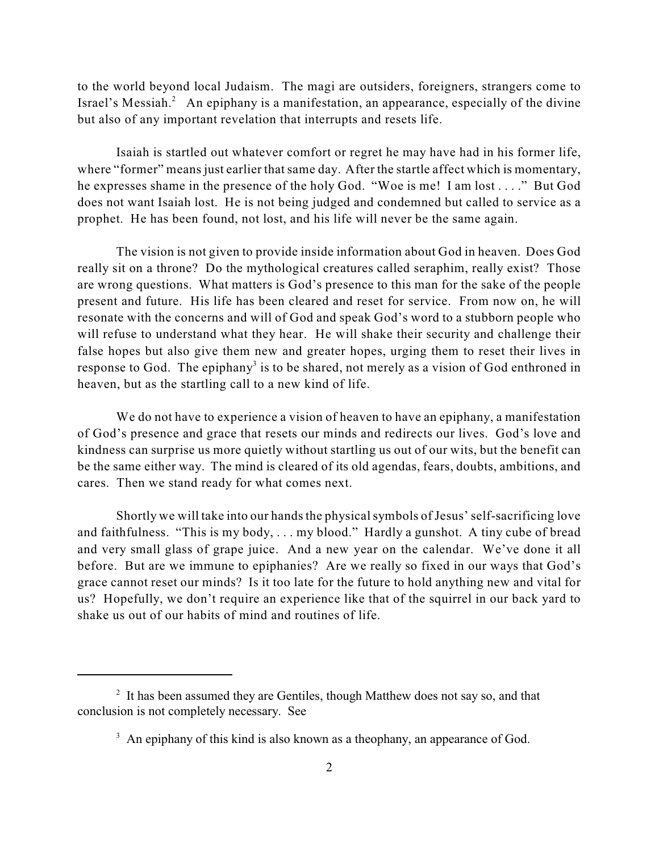to the world beyond local Judaism. The magi are outsiders, foreigners, strangers come to Israel's Messiah. $\alpha$  An epiphany is a manifestation, an appearance, especially of the divine but also of any important revelation that interrupts and resets life.

Isaiah is startled out whatever comfort or regret he may have had in his former life, where "former" means just earlier that same day. After the startle affect which is momentary, he expresses shame in the presence of the holy God. "Woe is me! I am lost . . . ." But God does not want Isaiah lost. He is not being judged and condemned but called to service as a prophet. He has been found, not lost, and his life will never be the same again.

The vision is not given to provide inside information about God in heaven. Does God really sit on a throne? Do the mythological creatures called seraphim, really exist? Those are wrong questions. What matters is God's presence to this man for the sake of the people present and future. His life has been cleared and reset for service. From now on, he will resonate with the concerns and will of God and speak God's word to a stubborn people who will refuse to understand what they hear. He will shake their security and challenge their false hopes but also give them new and greater hopes, urging them to reset their lives in response to God. The epiphany<sup>3</sup> is to be shared, not merely as a vision of God enthroned in heaven, but as the startling call to a new kind of life.

We do not have to experience a vision of heaven to have an epiphany, a manifestation of God's presence and grace that resets our minds and redirects our lives. God's love and kindness can surprise us more quietly without startling us out of our wits, but the benefit can be the same either way. The mind is cleared of its old agendas, fears, doubts, ambitions, and cares. Then we stand ready for what comes next.

Shortly we will take into our hands the physical symbols of Jesus' self-sacrificing love and faithfulness. "This is my body, . . . my blood." Hardly a gunshot. A tiny cube of bread and very small glass of grape juice. And a new year on the calendar. We've done it all before. But are we immune to epiphanies? Are we really so fixed in our ways that God's grace cannot reset our minds? Is it too late for the future to hold anything new and vital for us? Hopefully, we don't require an experience like that of the squirrel in our back yard to shake us out of our habits of mind and routines of life.

 $1$ <sup>2</sup> It has been assumed they are Gentiles, though Matthew does not say so, and that conclusion is not completely necessary. See

 $\beta$  An epiphany of this kind is also known as a theophany, an appearance of God.